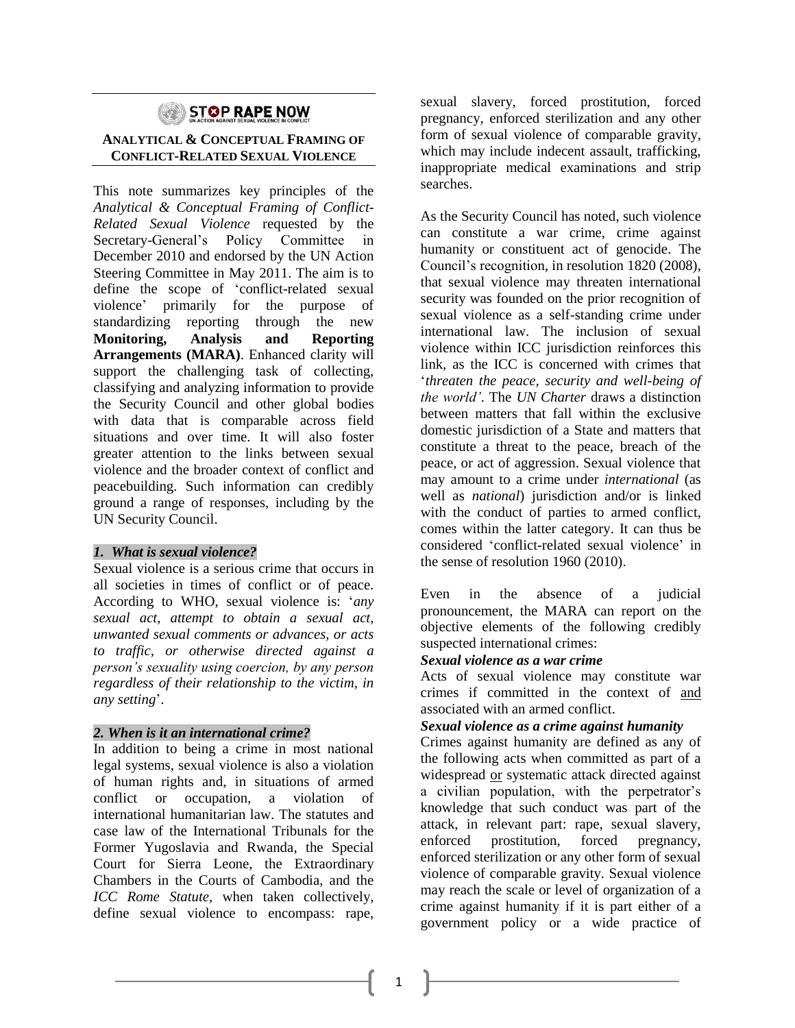# STOP RAPE NOW

## **ANALYTICAL & CONCEPTUAL FRAMING OF CONFLICT-RELATED SEXUAL VIOLENCE**

This note summarizes key principles of the *Analytical & Conceptual Framing of Conflict-Related Sexual Violence* requested by the Secretary-General's Policy Committee in December 2010 and endorsed by the UN Action Steering Committee in May 2011. The aim is to define the scope of 'conflict-related sexual violence' primarily for the purpose of standardizing reporting through the new **Monitoring, Analysis and Reporting Arrangements (MARA)**. Enhanced clarity will support the challenging task of collecting, classifying and analyzing information to provide the Security Council and other global bodies with data that is comparable across field situations and over time. It will also foster greater attention to the links between sexual violence and the broader context of conflict and peacebuilding. Such information can credibly ground a range of responses, including by the UN Security Council.

## *1. What is sexual violence?*

Sexual violence is a serious crime that occurs in all societies in times of conflict or of peace. According to WHO, sexual violence is: '*any sexual act, attempt to obtain a sexual act, unwanted sexual comments or advances, or acts to traffic, or otherwise directed against a person's sexuality using coercion, by any person regardless of their relationship to the victim, in any setting*'.

## *2. When is it an international crime?*

In addition to being a crime in most national legal systems, sexual violence is also a violation of human rights and, in situations of armed conflict or occupation, a violation of international humanitarian law. The statutes and case law of the International Tribunals for the Former Yugoslavia and Rwanda, the Special Court for Sierra Leone, the Extraordinary Chambers in the Courts of Cambodia, and the *ICC Rome Statute,* when taken collectively, define sexual violence to encompass: rape,

sexual slavery, forced prostitution, forced pregnancy, enforced sterilization and any other form of sexual violence of comparable gravity, which may include indecent assault, trafficking, inappropriate medical examinations and strip searches.

As the Security Council has noted, such violence can constitute a war crime, crime against humanity or constituent act of genocide. The Council's recognition, in resolution 1820 (2008), that sexual violence may threaten international security was founded on the prior recognition of sexual violence as a self-standing crime under international law. The inclusion of sexual violence within ICC jurisdiction reinforces this link, as the ICC is concerned with crimes that '*threaten the peace, security and well-being of the world'*. The *UN Charter* draws a distinction between matters that fall within the exclusive domestic jurisdiction of a State and matters that constitute a threat to the peace, breach of the peace, or act of aggression. Sexual violence that may amount to a crime under *international* (as well as *national*) jurisdiction and/or is linked with the conduct of parties to armed conflict, comes within the latter category. It can thus be considered 'conflict-related sexual violence' in the sense of resolution 1960 (2010).

Even in the absence of a judicial pronouncement, the MARA can report on the objective elements of the following credibly suspected international crimes:

#### *Sexual violence as a war crime*

Acts of sexual violence may constitute war crimes if committed in the context of and associated with an armed conflict.

#### *Sexual violence as a crime against humanity*

Crimes against humanity are defined as any of the following acts when committed as part of a widespread or systematic attack directed against a civilian population, with the perpetrator's knowledge that such conduct was part of the attack, in relevant part: rape, sexual slavery, enforced prostitution, forced pregnancy, enforced sterilization or any other form of sexual violence of comparable gravity. Sexual violence may reach the scale or level of organization of a crime against humanity if it is part either of a government policy or a wide practice of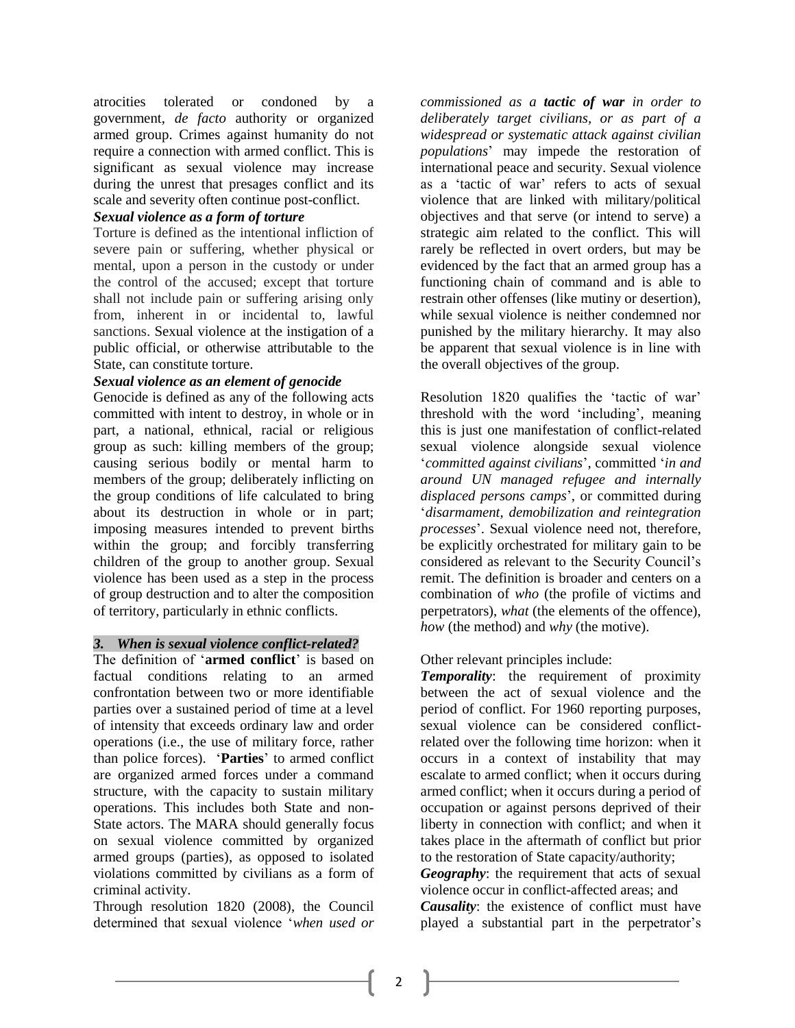atrocities tolerated or condoned by a government, *de facto* authority or organized armed group. Crimes against humanity do not require a connection with armed conflict. This is significant as sexual violence may increase during the unrest that presages conflict and its scale and severity often continue post-conflict.

#### *Sexual violence as a form of torture*

Torture is defined as the intentional infliction of severe pain or suffering, whether physical or mental, upon a person in the custody or under the control of the accused; except that torture shall not include pain or suffering arising only from, inherent in or incidental to, lawful sanctions. Sexual violence at the instigation of a public official, or otherwise attributable to the State, can constitute torture.

## *Sexual violence as an element of genocide*

Genocide is defined as any of the following acts committed with intent to destroy, in whole or in part, a national, ethnical, racial or religious group as such: killing members of the group; causing serious bodily or mental harm to members of the group; deliberately inflicting on the group conditions of life calculated to bring about its destruction in whole or in part; imposing measures intended to prevent births within the group; and forcibly transferring children of the group to another group. Sexual violence has been used as a step in the process of group destruction and to alter the composition of territory, particularly in ethnic conflicts.

## *3. When is sexual violence conflict-related?*

The definition of '**armed conflict**' is based on factual conditions relating to an armed confrontation between two or more identifiable parties over a sustained period of time at a level of intensity that exceeds ordinary law and order operations (i.e., the use of military force, rather than police forces). '**Parties**' to armed conflict are organized armed forces under a command structure, with the capacity to sustain military operations. This includes both State and non-State actors. The MARA should generally focus on sexual violence committed by organized armed groups (parties), as opposed to isolated violations committed by civilians as a form of criminal activity.

Through resolution 1820 (2008), the Council determined that sexual violence '*when used or* 

*commissioned as a tactic of war in order to deliberately target civilians, or as part of a widespread or systematic attack against civilian populations*' may impede the restoration of international peace and security. Sexual violence as a 'tactic of war' refers to acts of sexual violence that are linked with military/political objectives and that serve (or intend to serve) a strategic aim related to the conflict. This will rarely be reflected in overt orders, but may be evidenced by the fact that an armed group has a functioning chain of command and is able to restrain other offenses (like mutiny or desertion), while sexual violence is neither condemned nor punished by the military hierarchy. It may also be apparent that sexual violence is in line with the overall objectives of the group.

Resolution 1820 qualifies the 'tactic of war' threshold with the word 'including', meaning this is just one manifestation of conflict-related sexual violence alongside sexual violence '*committed against civilians*', committed '*in and around UN managed refugee and internally displaced persons camps*', or committed during '*disarmament, demobilization and reintegration processes*'. Sexual violence need not, therefore, be explicitly orchestrated for military gain to be considered as relevant to the Security Council's remit. The definition is broader and centers on a combination of *who* (the profile of victims and perpetrators), *what* (the elements of the offence), *how* (the method) and *why* (the motive).

## Other relevant principles include:

*Temporality*: the requirement of proximity between the act of sexual violence and the period of conflict. For 1960 reporting purposes, sexual violence can be considered conflictrelated over the following time horizon: when it occurs in a context of instability that may escalate to armed conflict; when it occurs during armed conflict; when it occurs during a period of occupation or against persons deprived of their liberty in connection with conflict; and when it takes place in the aftermath of conflict but prior to the restoration of State capacity/authority; *Geography*: the requirement that acts of sexual

violence occur in conflict-affected areas; and *Causality*: the existence of conflict must have played a substantial part in the perpetrator's